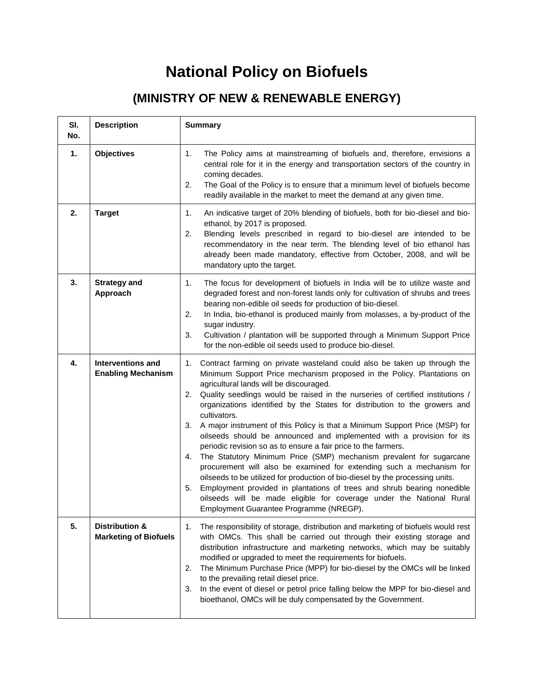## **National Policy on Biofuels**

## **(MINISTRY OF NEW & RENEWABLE ENERGY)**

| SI.<br>No. | <b>Description</b>                                    | <b>Summary</b>                                                                                                                                                                                                                                                                                                                                                                                                                                                                                                                                                                                                                                                                                                                                                                                                                                                                                                                                                                                                                                                      |
|------------|-------------------------------------------------------|---------------------------------------------------------------------------------------------------------------------------------------------------------------------------------------------------------------------------------------------------------------------------------------------------------------------------------------------------------------------------------------------------------------------------------------------------------------------------------------------------------------------------------------------------------------------------------------------------------------------------------------------------------------------------------------------------------------------------------------------------------------------------------------------------------------------------------------------------------------------------------------------------------------------------------------------------------------------------------------------------------------------------------------------------------------------|
| 1.         | <b>Objectives</b>                                     | 1.<br>The Policy aims at mainstreaming of biofuels and, therefore, envisions a<br>central role for it in the energy and transportation sectors of the country in<br>coming decades.<br>2.<br>The Goal of the Policy is to ensure that a minimum level of biofuels become<br>readily available in the market to meet the demand at any given time.                                                                                                                                                                                                                                                                                                                                                                                                                                                                                                                                                                                                                                                                                                                   |
| 2.         | <b>Target</b>                                         | 1.<br>An indicative target of 20% blending of biofuels, both for bio-diesel and bio-<br>ethanol, by 2017 is proposed.<br>Blending levels prescribed in regard to bio-diesel are intended to be<br>2.<br>recommendatory in the near term. The blending level of bio ethanol has<br>already been made mandatory, effective from October, 2008, and will be<br>mandatory upto the target.                                                                                                                                                                                                                                                                                                                                                                                                                                                                                                                                                                                                                                                                              |
| 3.         | <b>Strategy and</b><br>Approach                       | 1.<br>The focus for development of biofuels in India will be to utilize waste and<br>degraded forest and non-forest lands only for cultivation of shrubs and trees<br>bearing non-edible oil seeds for production of bio-diesel.<br>In India, bio-ethanol is produced mainly from molasses, a by-product of the<br>2.<br>sugar industry.<br>Cultivation / plantation will be supported through a Minimum Support Price<br>3.<br>for the non-edible oil seeds used to produce bio-diesel.                                                                                                                                                                                                                                                                                                                                                                                                                                                                                                                                                                            |
| 4.         | <b>Interventions and</b><br><b>Enabling Mechanism</b> | Contract farming on private wasteland could also be taken up through the<br>1.<br>Minimum Support Price mechanism proposed in the Policy. Plantations on<br>agricultural lands will be discouraged.<br>Quality seedlings would be raised in the nurseries of certified institutions /<br>2.<br>organizations identified by the States for distribution to the growers and<br>cultivators.<br>3.<br>A major instrument of this Policy is that a Minimum Support Price (MSP) for<br>oilseeds should be announced and implemented with a provision for its<br>periodic revision so as to ensure a fair price to the farmers.<br>The Statutory Minimum Price (SMP) mechanism prevalent for sugarcane<br>4.<br>procurement will also be examined for extending such a mechanism for<br>oilseeds to be utilized for production of bio-diesel by the processing units.<br>Employment provided in plantations of trees and shrub bearing nonedible<br>5.<br>oilseeds will be made eligible for coverage under the National Rural<br>Employment Guarantee Programme (NREGP). |
| 5.         | Distribution &<br><b>Marketing of Biofuels</b>        | The responsibility of storage, distribution and marketing of biofuels would rest<br>1.<br>with OMCs. This shall be carried out through their existing storage and<br>distribution infrastructure and marketing networks, which may be suitably<br>modified or upgraded to meet the requirements for biofuels.<br>The Minimum Purchase Price (MPP) for bio-diesel by the OMCs will be linked<br>2.<br>to the prevailing retail diesel price.<br>In the event of diesel or petrol price falling below the MPP for bio-diesel and<br>3.<br>bioethanol, OMCs will be duly compensated by the Government.                                                                                                                                                                                                                                                                                                                                                                                                                                                                |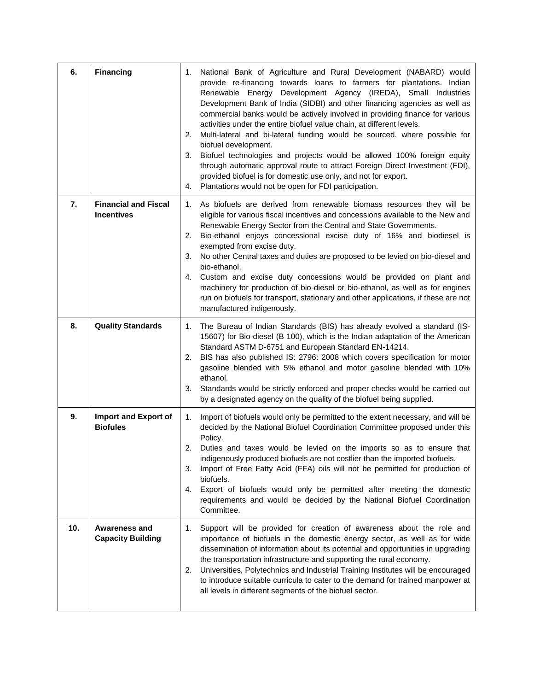| 6.  | <b>Financing</b>                                 | National Bank of Agriculture and Rural Development (NABARD) would<br>1.<br>provide re-financing towards loans to farmers for plantations. Indian<br>Renewable Energy Development Agency (IREDA), Small Industries<br>Development Bank of India (SIDBI) and other financing agencies as well as<br>commercial banks would be actively involved in providing finance for various<br>activities under the entire biofuel value chain, at different levels.<br>Multi-lateral and bi-lateral funding would be sourced, where possible for<br>2.<br>biofuel development.<br>Biofuel technologies and projects would be allowed 100% foreign equity<br>3.<br>through automatic approval route to attract Foreign Direct Investment (FDI),<br>provided biofuel is for domestic use only, and not for export.<br>Plantations would not be open for FDI participation.<br>4. |
|-----|--------------------------------------------------|--------------------------------------------------------------------------------------------------------------------------------------------------------------------------------------------------------------------------------------------------------------------------------------------------------------------------------------------------------------------------------------------------------------------------------------------------------------------------------------------------------------------------------------------------------------------------------------------------------------------------------------------------------------------------------------------------------------------------------------------------------------------------------------------------------------------------------------------------------------------|
| 7.  | <b>Financial and Fiscal</b><br><b>Incentives</b> | 1. As biofuels are derived from renewable biomass resources they will be<br>eligible for various fiscal incentives and concessions available to the New and<br>Renewable Energy Sector from the Central and State Governments.<br>Bio-ethanol enjoys concessional excise duty of 16% and biodiesel is<br>2.<br>exempted from excise duty.<br>No other Central taxes and duties are proposed to be levied on bio-diesel and<br>3.<br>bio-ethanol.<br>Custom and excise duty concessions would be provided on plant and<br>4.<br>machinery for production of bio-diesel or bio-ethanol, as well as for engines<br>run on biofuels for transport, stationary and other applications, if these are not<br>manufactured indigenously.                                                                                                                                   |
| 8.  | <b>Quality Standards</b>                         | The Bureau of Indian Standards (BIS) has already evolved a standard (IS-<br>1.<br>15607) for Bio-diesel (B 100), which is the Indian adaptation of the American<br>Standard ASTM D-6751 and European Standard EN-14214.<br>BIS has also published IS: 2796: 2008 which covers specification for motor<br>2.<br>gasoline blended with 5% ethanol and motor gasoline blended with 10%<br>ethanol.<br>Standards would be strictly enforced and proper checks would be carried out<br>3.<br>by a designated agency on the quality of the biofuel being supplied.                                                                                                                                                                                                                                                                                                       |
| 9.  | Import and Export of<br><b>Biofules</b>          | Import of biofuels would only be permitted to the extent necessary, and will be<br>1.<br>decided by the National Biofuel Coordination Committee proposed under this<br>Policy.<br>2.<br>Duties and taxes would be levied on the imports so as to ensure that<br>indigenously produced biofuels are not costlier than the imported biofuels.<br>Import of Free Fatty Acid (FFA) oils will not be permitted for production of<br>3.<br>biofuels.<br>Export of biofuels would only be permitted after meeting the domestic<br>4.<br>requirements and would be decided by the National Biofuel Coordination<br>Committee.                                                                                                                                                                                                                                              |
| 10. | <b>Awareness and</b><br><b>Capacity Building</b> | Support will be provided for creation of awareness about the role and<br>1.<br>importance of biofuels in the domestic energy sector, as well as for wide<br>dissemination of information about its potential and opportunities in upgrading<br>the transportation infrastructure and supporting the rural economy.<br>Universities, Polytechnics and Industrial Training Institutes will be encouraged<br>2.<br>to introduce suitable curricula to cater to the demand for trained manpower at<br>all levels in different segments of the biofuel sector.                                                                                                                                                                                                                                                                                                          |